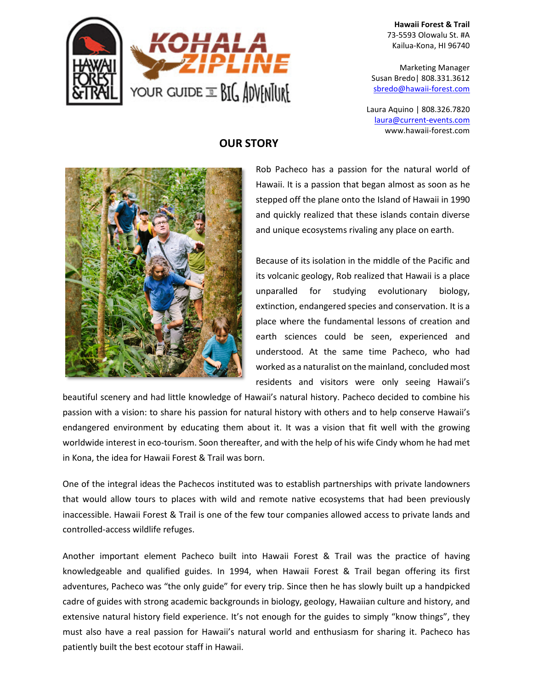

**Hawaii Forest & Trail** 73-5593 Olowalu St. #A Kailua-Kona, HI 96740

Marketing Manager Susan Bredo| 808.331.3612 [sbredo@hawaii-forest.com](mailto:sbredo@hawaii-forest.com)

Laura Aquino | 808.326.7820 laura@current-events.com www.hawaii-forest.com



## **OUR STORY**

Rob Pacheco has a passion for the natural world of Hawaii. It is a passion that began almost as soon as he stepped off the plane onto the Island of Hawaii in 1990 and quickly realized that these islands contain diverse and unique ecosystems rivaling any place on earth.

Because of its isolation in the middle of the Pacific and its volcanic geology, Rob realized that Hawaii is a place unparalled for studying evolutionary biology, extinction, endangered species and conservation. It is a place where the fundamental lessons of creation and earth sciences could be seen, experienced and understood. At the same time Pacheco, who had worked as a naturalist on the mainland, concluded most residents and visitors were only seeing Hawaii's

beautiful scenery and had little knowledge of Hawaii's natural history. Pacheco decided to combine his passion with a vision: to share his passion for natural history with others and to help conserve Hawaii's endangered environment by educating them about it. It was a vision that fit well with the growing worldwide interest in eco-tourism. Soon thereafter, and with the help of his wife Cindy whom he had met in Kona, the idea for Hawaii Forest & Trail was born.

One of the integral ideas the Pachecos instituted was to establish partnerships with private landowners that would allow tours to places with wild and remote native ecosystems that had been previously inaccessible. Hawaii Forest & Trail is one of the few tour companies allowed access to private lands and controlled-access wildlife refuges.

Another important element Pacheco built into Hawaii Forest & Trail was the practice of having knowledgeable and qualified guides. In 1994, when Hawaii Forest & Trail began offering its first adventures, Pacheco was "the only guide" for every trip. Since then he has slowly built up a handpicked cadre of guides with strong academic backgrounds in biology, geology, Hawaiian culture and history, and extensive natural history field experience. It's not enough for the guides to simply "know things", they must also have a real passion for Hawaii's natural world and enthusiasm for sharing it. Pacheco has patiently built the best ecotour staff in Hawaii.